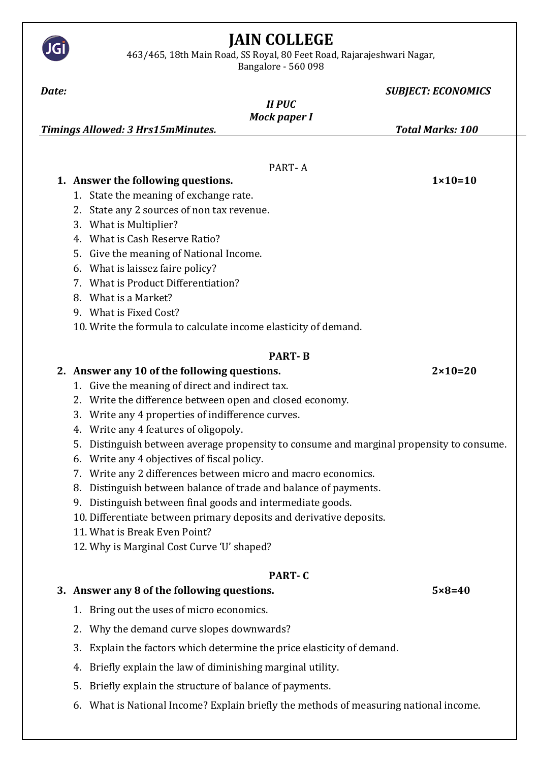

JGİ

Bangalore - 560 098

| Date:                                                                                                           | <b>SUBJECT: ECONOMICS</b> |
|-----------------------------------------------------------------------------------------------------------------|---------------------------|
| <b>II PUC</b>                                                                                                   |                           |
| <b>Mock paper I</b><br><b>Timings Allowed: 3 Hrs15mMinutes.</b>                                                 | <b>Total Marks: 100</b>   |
|                                                                                                                 |                           |
|                                                                                                                 |                           |
| PART-A                                                                                                          | $1 \times 10 = 10$        |
| 1. Answer the following questions.<br>1. State the meaning of exchange rate.                                    |                           |
| State any 2 sources of non tax revenue.<br>2.                                                                   |                           |
| What is Multiplier?<br>3.                                                                                       |                           |
| What is Cash Reserve Ratio?<br>$4_{-}$                                                                          |                           |
| Give the meaning of National Income.<br>5.                                                                      |                           |
| What is laissez faire policy?<br>6.                                                                             |                           |
| What is Product Differentiation?<br>7.                                                                          |                           |
| What is a Market?<br>8.                                                                                         |                           |
| 9. What is Fixed Cost?                                                                                          |                           |
| 10. Write the formula to calculate income elasticity of demand.                                                 |                           |
| <b>PART-B</b>                                                                                                   |                           |
| 2. Answer any 10 of the following questions.                                                                    | $2 \times 10 = 20$        |
| 1. Give the meaning of direct and indirect tax.                                                                 |                           |
| 2. Write the difference between open and closed economy.                                                        |                           |
| Write any 4 properties of indifference curves.<br>3.                                                            |                           |
| Write any 4 features of oligopoly.<br>4.                                                                        |                           |
| Distinguish between average propensity to consume and marginal propensity to consume.<br>5.                     |                           |
| Write any 4 objectives of fiscal policy.<br>6.<br>7. Write any 2 differences between micro and macro economics. |                           |
| 8. Distinguish between balance of trade and balance of payments.                                                |                           |
| Distinguish between final goods and intermediate goods.<br>9.                                                   |                           |
| 10. Differentiate between primary deposits and derivative deposits.                                             |                           |
| 11. What is Break Even Point?                                                                                   |                           |
| 12. Why is Marginal Cost Curve 'U' shaped?                                                                      |                           |
| <b>PART-C</b>                                                                                                   |                           |
| 3. Answer any 8 of the following questions.                                                                     | $5 \times 8 = 40$         |
| 1. Bring out the uses of micro economics.                                                                       |                           |
| Why the demand curve slopes downwards?<br>2.                                                                    |                           |
| Explain the factors which determine the price elasticity of demand.<br>3.                                       |                           |
| Briefly explain the law of diminishing marginal utility.<br>4.                                                  |                           |
| Briefly explain the structure of balance of payments.<br>5.                                                     |                           |
| What is National Income? Explain briefly the methods of measuring national income.<br>6.                        |                           |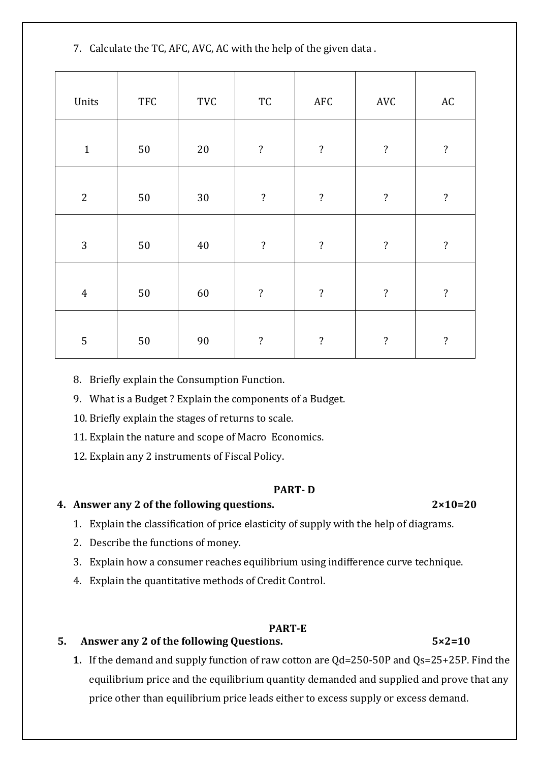7. Calculate the TC, AFC, AVC, AC with the help of the given data .

| Units          | <b>TFC</b> | $\operatorname{TVC}$ | $\protect\operatorname{TC}$ | AFC                      | $\operatorname{AVC}$     | $\mathbf{A}\mathbf{C}$   |
|----------------|------------|----------------------|-----------------------------|--------------------------|--------------------------|--------------------------|
| $1\,$          | $50\,$     | $20\,$               | $\overline{\mathcal{E}}$    | $\overline{\mathbf{?}}$  | $\ddot{?}$               | $\overline{\mathcal{E}}$ |
| $\overline{2}$ | $50\,$     | $30\,$               | $\overline{\cdot}$          | $\ddot{?}$               | $\ddot{?}$               | $\ddot{?}$               |
| $\overline{3}$ | $50\,$     | $40\,$               | $\overline{\mathcal{L}}$    | $\ddot{?}$               | $\overline{\mathcal{L}}$ | $\ddot{?}$               |
| $\overline{4}$ | $50\,$     | 60                   | $\overline{\mathcal{E}}$    | $\overline{\mathcal{L}}$ | $\ddot{?}$               | $\overline{\mathbf{?}}$  |
| $\overline{5}$ | $50\,$     | 90                   | $\overline{\mathcal{E}}$    | $\overline{\cdot}$       | $\overline{\mathcal{E}}$ | $\ddot{?}$               |

8. Briefly explain the Consumption Function.

9. What is a Budget ? Explain the components of a Budget.

10. Briefly explain the stages of returns to scale.

11. Explain the nature and scope of Macro Economics.

12. Explain any 2 instruments of Fiscal Policy.

## **PART- D**

# **4. Answer any 2 of the following questions. 2×10=20**

- 1. Explain the classification of price elasticity of supply with the help of diagrams.
- 2. Describe the functions of money.
- 3. Explain how a consumer reaches equilibrium using indifference curve technique.
- 4. Explain the quantitative methods of Credit Control.

## **PART-E**

# **5. Answer any 2 of the following Questions. 5×2=10**

**1.** If the demand and supply function of raw cotton are Qd=250-50P and Qs=25+25P. Find the equilibrium price and the equilibrium quantity demanded and supplied and prove that any price other than equilibrium price leads either to excess supply or excess demand.